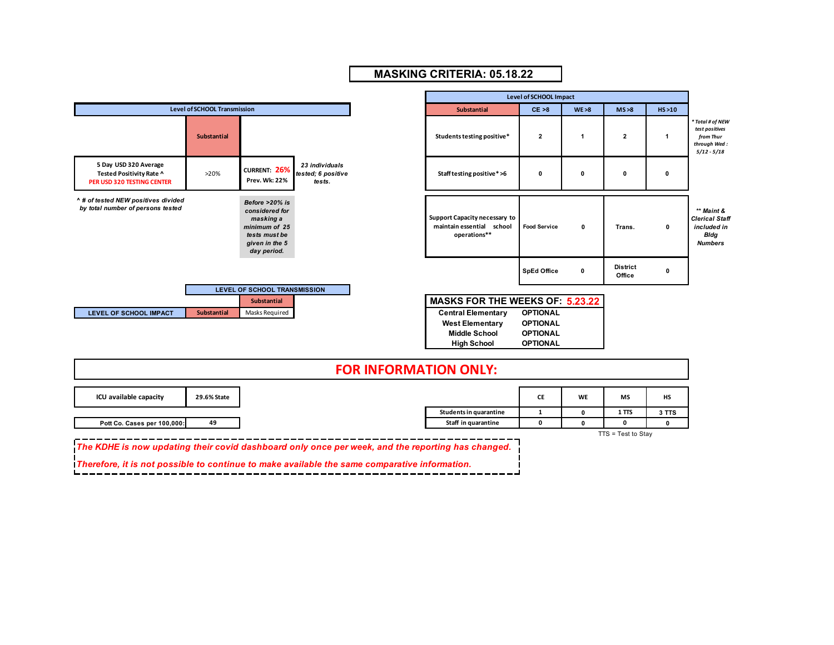

## **MASKING CRITERIA: 05.18.22**

| <b>FOR INFORMATION ONLY:</b> |  |
|------------------------------|--|
|------------------------------|--|

 $\overline{\phantom{0}}$ 

| ICU available capacity                                                                            | 29.6% State |                        | CE | <b>WE</b> | MS                   | HS    |
|---------------------------------------------------------------------------------------------------|-------------|------------------------|----|-----------|----------------------|-------|
|                                                                                                   |             | Students in quarantine |    |           | 1 <sub>TTS</sub>     | 3 TTS |
| Pott Co. Cases per 100,000:                                                                       | 49          | Staff in quarantine    |    |           |                      |       |
|                                                                                                   |             |                        |    |           | $TTS = Test to Stay$ |       |
| The KDHE is now updating their covid dashboard only once per week, and the reporting has changed. |             |                        |    |           |                      |       |

*Therefore, it is not possible to continue to make available the same comparative information.*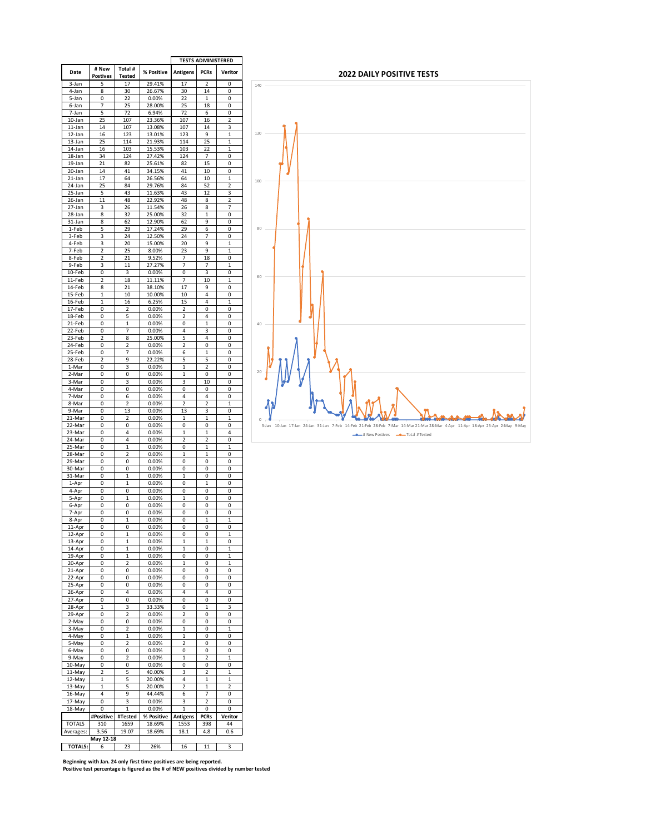|                      |                         |                   |                | <b>TESTS ADMINISTERED</b> |              |               |
|----------------------|-------------------------|-------------------|----------------|---------------------------|--------------|---------------|
| Date                 | # New                   | Total #           | % Positive     | Antigens                  | <b>PCRs</b>  | Veritor       |
|                      | <b>Postives</b>         | <b>Tested</b>     |                |                           |              |               |
| 3-Jan                | 5                       | 17                | 29.41%         | 17                        | 2            | 0             |
| 4-Jan                | 8                       | 30                | 26.67%         | 30                        | 14           | 0             |
| 5-Jan                | 0                       | 22                | 0.00%          | 22                        | $\mathbf{1}$ | 0             |
| 6-Jan                | 7                       | 25                | 28.00%         | 25                        | 18           | 0             |
| 7-Jan                | 5                       | 72                | 6.94%          | 72                        | 6            | 0             |
| 10-Jan               | 25                      | 107               | 23.36%         | 107                       | 16           | $\mathfrak z$ |
| 11-Jan               | 14                      | 107               | 13.08%         | 107                       | 14           | 3             |
| 12-Jan               | 16                      | 123               | 13.01%         | 123                       | 9            | 1             |
| 13-Jan               | 25                      | 114               | 21.93%         | 114                       | 25           | $\mathbf{1}$  |
| 14-Jan               | 16                      | 103               | 15.53%         | 103                       | 22           | 1             |
| 18-Jan               | 34                      | 124               | 27.42%         | 124                       | 7            | 0             |
| 19-Jan               | 21                      | 82                | 25.61%         | 82                        | 15           | 0             |
| 20-Jan               | 14                      | 41                | 34.15%         | 41                        | 10           | 0             |
|                      | 17                      | 64                | 26.56%         | 64                        | 10           | 1             |
| 21-Jan               |                         |                   |                |                           |              |               |
| 24-Jan               | 25                      | 84                | 29.76%         | 84                        | 52           | 2             |
| 25-Jan               | 5                       | 43                | 11.63%         | 43                        | 12           | 3             |
| 26-Jan               | 11                      | 48                | 22.92%         | 48                        | 8            | 2             |
| 27-Jan               | 3                       | 26                | 11.54%         | 26                        | 8            | 7             |
| 28-Jan               | 8                       | 32                | 25.00%         | 32                        | $\mathbf{1}$ | 0             |
| 31-Jan               | 8                       | 62                | 12.90%         | 62                        | 9            | 0             |
| 1-Feb                | 5                       | 29                | 17.24%         | 29                        | 6            | 0             |
| 3-Feb                | 3                       | 24                | 12.50%         | 24                        | 7            | 0             |
| 4-Feb                | 3                       | 20                | 15.00%         | 20                        | 9            | 1             |
| 7-Feb                | 2                       | 25                | 8.00%          | 23                        | 9            | $\mathbf{1}$  |
| 8-Feb                | 2                       | 21                | 9.52%          | 7                         | 18           | 0             |
| 9-Feb                | 3                       | 11                | 27.27%         | 7                         | 7            | 1             |
| 10-Feb               | 0                       | 3                 | 0.00%          | 0                         | 3            | 0             |
| 11-Feb               | $\overline{c}$          | 18                | 11.11%         | 7                         | 10           | 1             |
| 14-Feb               | 8                       | 21                | 38.10%         | 17                        | 9            | 0             |
| 15-Feb               | 1                       | 10                | 10.00%         | 10                        | 4            | 0             |
| 16-Feb               | 1                       | 16                | 6.25%          | 15                        | 4            | 1             |
| 17-Feb               | 0                       | 2                 | 0.00%          | 2                         | 0            | 0             |
|                      |                         |                   |                |                           | 4            |               |
| 18-Feb<br>21-Feb     | 0<br>0                  | 5<br>$\mathbf{1}$ | 0.00%<br>0.00% | 2<br>0                    | $\mathbf{1}$ | 0<br>0        |
|                      |                         |                   |                |                           |              |               |
| 22-Feb               | 0                       | 7                 | 0.00%          | 4                         | 3            | 0             |
| $23$ -Feb            | 2                       | 8                 | 25.00%         | 5                         | 4            | 0             |
| 24-Feb               | 0                       | 2                 | 0.00%          | 2                         | 0            | 0             |
| 25-Feb               | 0                       | 7                 | 0.00%          | 6                         | 1            | 0             |
| 28-Feb               | $\overline{\mathbf{c}}$ | 9                 | 22.22%         | 5                         | 5            | 0             |
| 1-Mar                | 0                       | 3                 | 0.00%          | 1                         | 2            | 0             |
| 2-Mar                | 0                       | 0                 | 0.00%          | 1                         | 0            | 0             |
| 3-Mar                | 0                       | 3                 | 0.00%          | 3                         | 10           | 0             |
| 4-Mar                | 0                       | 0                 | 0.00%          | 0                         | 0            | 0             |
| 7-Mar                | 0                       | 6                 | 0.00%          | 4                         | 4            | 0             |
| 8-Mar                | 0                       | 2                 | 0.00%          | $\overline{c}$            | 2            | 1             |
| 9-Mar                | 0                       | 13                | 0.00%          | 13                        | 3            | 0             |
| 21-Mar               | 0                       | 2                 | 0.00%          | 1                         | 1            | 1             |
| 22-Mar               | 0                       | 0                 | 0.00%          | 0                         | 0            | 0             |
| 23-Mar               | 0                       | 4                 | 0.00%          | 1                         | $\mathbf{1}$ | 4             |
| 24-Mar               | 0                       | 4                 | 0.00%          | 2                         | 2            | 0             |
| 25-Mar               | 0                       | 1                 | 0.00%          | 0                         | 1            | 1             |
| 28-Mar               | 0                       | 2                 | 0.00%          | 1                         | 1            | 0             |
| 29-Mar               | 0                       | 0                 | 0.00%          | 0                         | 0            | 0             |
| 30-Mar               | 0                       | 0                 | 0.00%          | 0                         | 0            | 0             |
|                      |                         |                   |                |                           |              |               |
| 31-Mar               | 0                       | 1                 | 0.00%          | 1<br>0                    | 0            | 0<br>0        |
| 1-Apr                | 0                       | 1                 | 0.00%          |                           | 1            |               |
| 4-Apr                | 0                       | 0                 | 0.00%          | 0                         | 0            | 0             |
| 5-Apr                | 0                       | 1                 | 0.00%          | 1                         | 0            | 0             |
| 6-Apr                | 0                       | 0                 | 0.00%          | 0                         | 0            | 0             |
| 7-Apr                | 0                       | 0                 | 0.00%          | 0                         | 0            | 0             |
| 8-Apr                | 0                       | 1                 | 0.00%          | 0                         | 1            | 1             |
| 11-Apr               | 0                       | 0                 | 0.00%          | 0                         | 0            | 0             |
| 12-Apr               | 0                       | 1                 | 0.00%          | 0                         | 0            |               |
| 13-Apr               | 0                       | 1                 | 0.00%          | 1                         | 1            | 0             |
| $14-Apr$             | 0                       | 1                 | 0.00%          | 1                         | 0            | 1             |
| 19-Apr               | 0                       | 1                 | 0.00%          | 0                         | 0            | 1             |
| 20-Apr               | 0                       | 2                 | 0.00%          | 1                         | 0            | 1             |
| 21-Apr               | 0                       | 0                 | 0.00%          | 0                         | 0            | 0             |
| 22-Apr               | 0                       | 0                 | 0.00%          | 0                         | 0            | 0             |
| 25-Apr               | 0                       | 0                 | 0.00%          | 0                         | 0            | 0             |
| 26-Apr               | 0                       | 4                 | 0.00%          | 4                         | 4            | 0             |
| 27-Apr               | 0                       | 0                 | 0.00%          | 0                         | 0            | 0             |
| 28-Apr               | 1                       | 3                 | 33.33%         | 0                         | 1            | 3             |
| 29-Apr               | 0                       | 2                 | 0.00%          | 2                         | 0            | 0             |
| 2-May                | 0                       | 0                 | 0.00%          | 0                         | 0            | 0             |
| 3-May                | 0                       | 2                 | 0.00%          | 1                         | 0            | 1             |
| 4-May                | 0                       | 1                 | 0.00%          | 1                         | 0            | 0             |
| 5-May                | 0                       | 2                 | 0.00%          | 2                         | 0            | 0             |
|                      | 0                       | 0                 |                | 0                         |              |               |
| 6-May                |                         |                   | 0.00%          |                           | 0            | 0             |
| 9-May                | 0                       | 2                 | 0.00%          | 1                         | 2            | 1             |
| 10-May               | 0                       | 0                 | 0.00%          | 0                         | 0            | 0             |
| 11-May               | 2                       | 5                 | 40.00%         | 3                         | 2            | 1             |
| 12-May               | 1                       | 5                 | 20.00%         | 4                         | 1            | 1             |
| $\overline{1}$ 3-May | 1                       | 5                 | 20.00%         | 2                         | 1            | 2             |
| 16-May               | 4                       | 9                 | 44.44%         | 6                         | 7            | 0             |
| 17-May               | 0                       | 3                 | 0.00%          | 3                         | 2            | O             |
| 18-May               | 0                       | 1                 | 0.00%          | 1                         | 0            | 0             |
|                      | #Positive               | #Tested           | % Positive     | Antigens                  | <b>PCRs</b>  | Veritor       |
| TOTALS               | 310                     | 1659              | 18.69%         | 1553                      | 398          | 44            |
|                      | 3.56                    | 19.07             | 18.69%         | 18.1                      | 4.8          | 0.6           |
|                      |                         |                   |                |                           |              |               |
| Averages:            | May 12-18               |                   |                |                           |              |               |



**Beginning with Jan. 24 only first time positives are being reported. Positive test percentage is figured as the # of NEW positives divided by number tested**